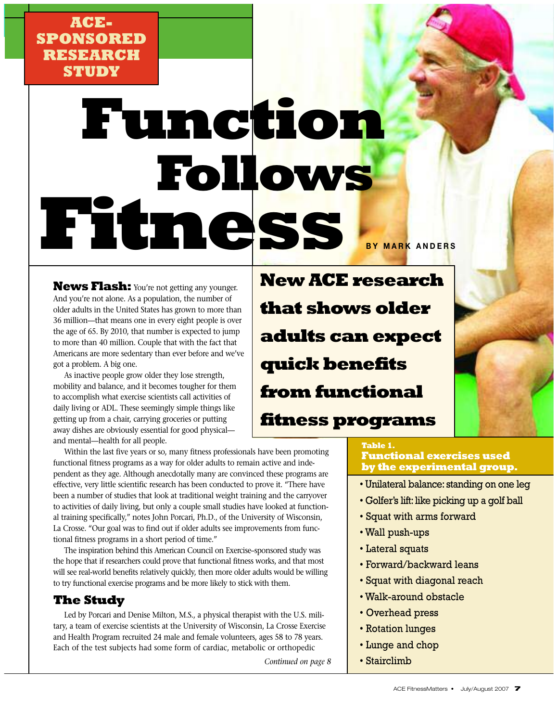## **ACE-SPONSORED RESEARCH STUDY**

# **Function Follows Fitness BY MARK ANDERS**

**News Flash:** You're not getting any younger. And you're not alone. As a population, the number of older adults in the United States has grown to more than 36 million—that means one in every eight people is over the age of 65. By 2010, that number is expected to jump to more than 40 million. Couple that with the fact that Americans are more sedentary than ever before and we've got a problem. A big one.

As inactive people grow older they lose strength, mobility and balance, and it becomes tougher for them to accomplish what exercise scientists call activities of daily living or ADL. These seemingly simple things like getting up from a chair, carrying groceries or putting away dishes are obviously essential for good physical and mental—health for all people.

Within the last five years or so, many fitness professionals have been promoting functional fitness programs as a way for older adults to remain active and independent as they age. Although anecdotally many are convinced these programs are effective, very little scientific research has been conducted to prove it. "There have been a number of studies that look at traditional weight training and the carryover to activities of daily living, but only a couple small studies have looked at functional training specifically," notes John Porcari, Ph.D., of the University of Wisconsin, La Crosse. "Our goal was to find out if older adults see improvements from functional fitness programs in a short period of time."

The inspiration behind this American Council on Exercise–sponsored study was the hope that if researchers could prove that functional fitness works, and that most will see real-world benefits relatively quickly, then more older adults would be willing to try functional exercise programs and be more likely to stick with them.

### **The Study**

Led by Porcari and Denise Milton, M.S., a physical therapist with the U.S. military, a team of exercise scientists at the University of Wisconsin, La Crosse Exercise and Health Program recruited 24 male and female volunteers, ages 58 to 78 years. Each of the test subjects had some form of cardiac, metabolic or orthopedic

*Continued on page 8*

**New ACE research that shows older adults can expect quick benefits from functional fitness programs**

#### **Table 1. Functional exercises used**

- **by the experimental group.**
- Unilateral balance: standing on one leg
- Golfer's lift: like picking up a golf ball
- Squat with arms forward
- Wall push-ups
- Lateral squats
- Forward/backward leans
- Squat with diagonal reach
- Walk-around obstacle
- Overhead press
- Rotation lunges
- Lunge and chop
- Stairclimb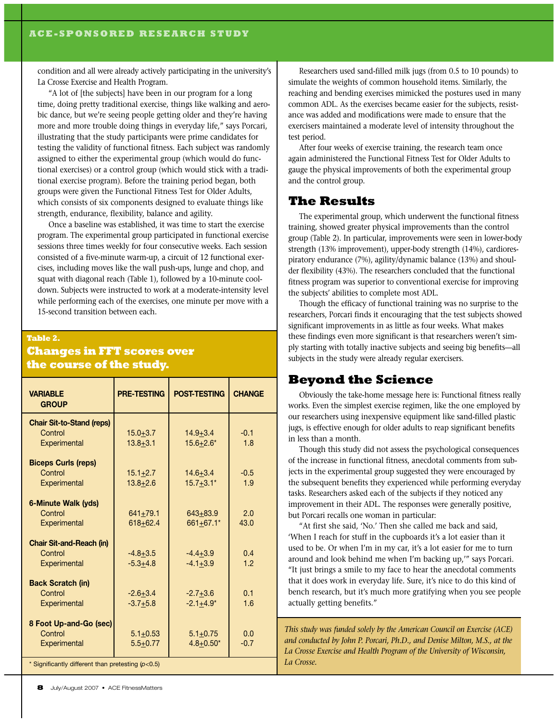condition and all were already actively participating in the university's La Crosse Exercise and Health Program.

"A lot of [the subjects] have been in our program for a long time, doing pretty traditional exercise, things like walking and aerobic dance, but we're seeing people getting older and they're having more and more trouble doing things in everyday life," says Porcari, illustrating that the study participants were prime candidates for testing the validity of functional fitness. Each subject was randomly assigned to either the experimental group (which would do functional exercises) or a control group (which would stick with a traditional exercise program). Before the training period began, both groups were given the Functional Fitness Test for Older Adults, which consists of six components designed to evaluate things like strength, endurance, flexibility, balance and agility.

Once a baseline was established, it was time to start the exercise program. The experimental group participated in functional exercise sessions three times weekly for four consecutive weeks. Each session consisted of a five-minute warm-up, a circuit of 12 functional exercises, including moves like the wall push-ups, lunge and chop, and squat with diagonal reach (Table 1), followed by a 10-minute cooldown. Subjects were instructed to work at a moderate-intensity level while performing each of the exercises, one minute per move with a 15-second transition between each.

#### **Table 2.**

#### **Changes in FFT scores over the course of the study.**

| <b>VARIABLE</b><br><b>GROUP</b>                   | <b>PRE-TESTING</b>           | <b>POST-TESTING</b>           | <b>CHANGE</b> |
|---------------------------------------------------|------------------------------|-------------------------------|---------------|
| <b>Chair Sit-to-Stand (reps)</b><br>Control       |                              |                               | $-0.1$        |
| Experimental                                      | $15.0 + 3.7$<br>$13.8 + 3.1$ | $14.9 + 3.4$<br>$15.6 + 2.6*$ | 1.8           |
| <b>Biceps Curls (reps)</b>                        |                              |                               |               |
| Control                                           | $15.1 + 2.7$                 | $14.6 + 3.4$                  | $-0.5$        |
| Experimental                                      | $13.8 + 2.6$                 | $15.7 + 3.1*$                 | 1.9           |
| 6-Minute Walk (yds)                               |                              |                               |               |
| Control                                           | $641 + 79.1$                 | $643 + 83.9$                  | 2.0           |
| Experimental                                      | $618 + 62.4$                 | 661+67.1*                     | 43.0          |
| <b>Chair Sit-and-Reach (in)</b>                   |                              |                               |               |
| Control                                           | $-4.8 + 3.5$                 | $-4.4+3.9$                    | 0.4           |
| Experimental                                      | $-5.3 + 4.8$                 | $-4.1 + 3.9$                  | 1.2           |
| <b>Back Scratch (in)</b>                          |                              |                               |               |
| Control                                           | $-2.6 + 3.4$                 | $-2.7+3.6$                    | 0.1           |
| Experimental                                      | $-3.7+5.8$                   | $-2.1 + 4.9*$                 | 1.6           |
| 8 Foot Up-and-Go (sec)                            |                              |                               |               |
| Control                                           | $5.1 + 0.53$                 | $5.1 + 0.75$                  | 0.0           |
| Experimental                                      | $5.5 + 0.77$                 | $4.8 + 0.50*$                 | $-0.7$        |
| * Significantly different than pretesting (p<0.5) |                              |                               |               |

Researchers used sand-filled milk jugs (from 0.5 to 10 pounds) to simulate the weights of common household items. Similarly, the reaching and bending exercises mimicked the postures used in many common ADL. As the exercises became easier for the subjects, resistance was added and modifications were made to ensure that the exercisers maintained a moderate level of intensity throughout the test period.

After four weeks of exercise training, the research team once again administered the Functional Fitness Test for Older Adults to gauge the physical improvements of both the experimental group and the control group.

#### **The Results**

The experimental group, which underwent the functional fitness training, showed greater physical improvements than the control group (Table 2). In particular, improvements were seen in lower-body strength (13% improvement), upper-body strength (14%), cardiorespiratory endurance (7%), agility/dynamic balance (13%) and shoulder flexibility (43%). The researchers concluded that the functional fitness program was superior to conventional exercise for improving the subjects' abilities to complete most ADL.

Though the efficacy of functional training was no surprise to the researchers, Porcari finds it encouraging that the test subjects showed significant improvements in as little as four weeks. What makes these findings even more significant is that researchers weren't simply starting with totally inactive subjects and seeing big benefits—all subjects in the study were already regular exercisers.

#### **Beyond the Science**

Obviously the take-home message here is: Functional fitness really works. Even the simplest exercise regimen, like the one employed by our researchers using inexpensive equipment like sand-filled plastic jugs, is effective enough for older adults to reap significant benefits in less than a month.

Though this study did not assess the psychological consequences of the increase in functional fitness, anecdotal comments from subjects in the experimental group suggested they were encouraged by the subsequent benefits they experienced while performing everyday tasks. Researchers asked each of the subjects if they noticed any improvement in their ADL. The responses were generally positive, but Porcari recalls one woman in particular:

"At first she said, 'No.' Then she called me back and said, 'When I reach for stuff in the cupboards it's a lot easier than it used to be. Or when I'm in my car, it's a lot easier for me to turn around and look behind me when I'm backing up,'" says Porcari. "It just brings a smile to my face to hear the anecdotal comments that it does work in everyday life. Sure, it's nice to do this kind of bench research, but it's much more gratifying when you see people actually getting benefits."

*This study was funded solely by the American Council on Exercise (ACE) and conducted by John P. Porcari, Ph.D., and Denise Milton, M.S., at the La Crosse Exercise and Health Program of the University of Wisconsin, La Crosse.*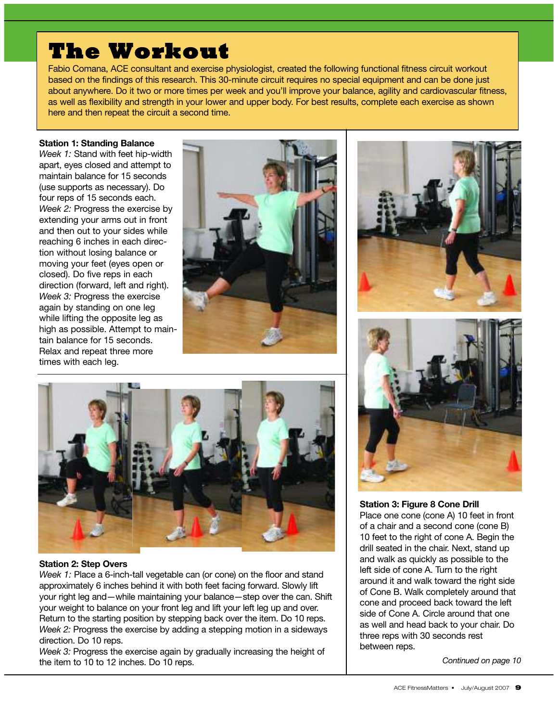# **The Workout**

Fabio Comana, ACE consultant and exercise physiologist, created the following functional fitness circuit workout based on the findings of this research. This 30-minute circuit requires no special equipment and can be done just about anywhere. Do it two or more times per week and you'll improve your balance, agility and cardiovascular fitness, as well as flexibility and strength in your lower and upper body. For best results, complete each exercise as shown here and then repeat the circuit a second time.

#### **Station 1: Standing Balance**

*Week 1:* Stand with feet hip-width apart, eyes closed and attempt to maintain balance for 15 seconds (use supports as necessary). Do four reps of 15 seconds each. *Week 2:* Progress the exercise by extending your arms out in front and then out to your sides while reaching 6 inches in each direction without losing balance or moving your feet (eyes open or closed). Do five reps in each direction (forward, left and right). *Week 3:* Progress the exercise again by standing on one leg while lifting the opposite leg as high as possible. Attempt to maintain balance for 15 seconds. Relax and repeat three more times with each leg.







#### **Station 2: Step Overs**

*Week 1:* Place a 6-inch-tall vegetable can (or cone) on the floor and stand approximately 6 inches behind it with both feet facing forward. Slowly lift your right leg and—while maintaining your balance—step over the can. Shift your weight to balance on your front leg and lift your left leg up and over. Return to the starting position by stepping back over the item. Do 10 reps. *Week 2:* Progress the exercise by adding a stepping motion in a sideways direction. Do 10 reps.

*Week 3:* Progress the exercise again by gradually increasing the height of the item to 10 to 12 inches. Do 10 reps.



**Station 3: Figure 8 Cone Drill** Place one cone (cone A) 10 feet in front of a chair and a second cone (cone B) 10 feet to the right of cone A. Begin the drill seated in the chair. Next, stand up and walk as quickly as possible to the left side of cone A. Turn to the right around it and walk toward the right side of Cone B. Walk completely around that cone and proceed back toward the left side of Cone A. Circle around that one as well and head back to your chair. Do three reps with 30 seconds rest between reps.

*Continued on page 10*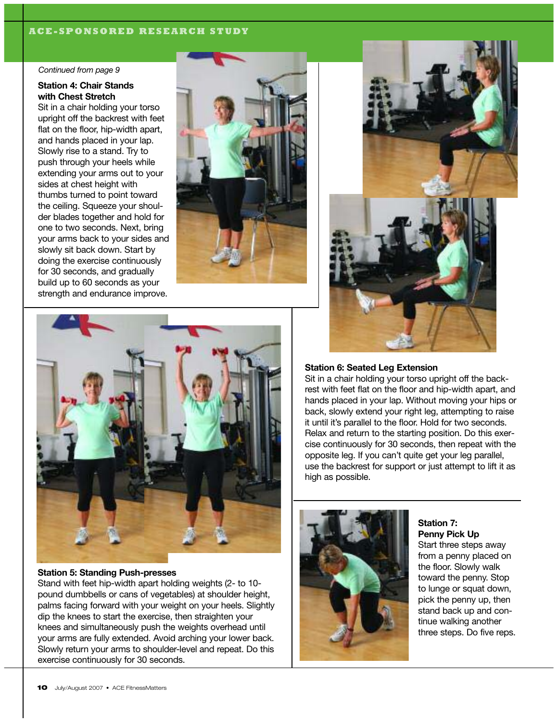#### **ACE-SPONSORED RESEARCH STUDY**

#### *Continued from page 9*

#### **Station 4: Chair Stands with Chest Stretch**

Sit in a chair holding your torso upright off the backrest with feet flat on the floor, hip-width apart, and hands placed in your lap. Slowly rise to a stand. Try to push through your heels while extending your arms out to your sides at chest height with thumbs turned to point toward the ceiling. Squeeze your shoulder blades together and hold for one to two seconds. Next, bring your arms back to your sides and slowly sit back down. Start by doing the exercise continuously for 30 seconds, and gradually build up to 60 seconds as your strength and endurance improve.







#### **Station 5: Standing Push-presses**

Stand with feet hip-width apart holding weights (2- to 10 pound dumbbells or cans of vegetables) at shoulder height, palms facing forward with your weight on your heels. Slightly dip the knees to start the exercise, then straighten your knees and simultaneously push the weights overhead until your arms are fully extended. Avoid arching your lower back. Slowly return your arms to shoulder-level and repeat. Do this exercise continuously for 30 seconds.

#### **Station 6: Seated Leg Extension**

Sit in a chair holding your torso upright off the backrest with feet flat on the floor and hip-width apart, and hands placed in your lap. Without moving your hips or back, slowly extend your right leg, attempting to raise it until it's parallel to the floor. Hold for two seconds. Relax and return to the starting position. Do this exercise continuously for 30 seconds, then repeat with the opposite leg. If you can't quite get your leg parallel, use the backrest for support or just attempt to lift it as high as possible.



**Station 7: Penny Pick Up**

Start three steps away from a penny placed on the floor. Slowly walk toward the penny. Stop to lunge or squat down, pick the penny up, then stand back up and continue walking another three steps. Do five reps.